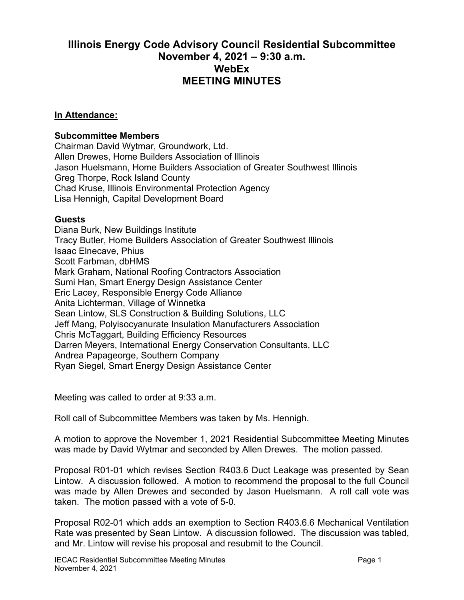## **Illinois Energy Code Advisory Council Residential Subcommittee November 4, 2021 – 9:30 a.m. WebEx MEETING MINUTES**

## **In Attendance:**

## **Subcommittee Members**

Chairman David Wytmar, Groundwork, Ltd. Allen Drewes, Home Builders Association of Illinois Jason Huelsmann, Home Builders Association of Greater Southwest Illinois Greg Thorpe, Rock Island County Chad Kruse, Illinois Environmental Protection Agency Lisa Hennigh, Capital Development Board

## **Guests**

Diana Burk, New Buildings Institute Tracy Butler, Home Builders Association of Greater Southwest Illinois Isaac Elnecave, Phius Scott Farbman, dbHMS Mark Graham, National Roofing Contractors Association Sumi Han, Smart Energy Design Assistance Center Eric Lacey, Responsible Energy Code Alliance Anita Lichterman, Village of Winnetka Sean Lintow, SLS Construction & Building Solutions, LLC Jeff Mang, Polyisocyanurate Insulation Manufacturers Association Chris McTaggart, Building Efficiency Resources Darren Meyers, International Energy Conservation Consultants, LLC Andrea Papageorge, Southern Company Ryan Siegel, Smart Energy Design Assistance Center

Meeting was called to order at 9:33 a.m.

Roll call of Subcommittee Members was taken by Ms. Hennigh.

A motion to approve the November 1, 2021 Residential Subcommittee Meeting Minutes was made by David Wytmar and seconded by Allen Drewes. The motion passed.

Proposal R01-01 which revises Section R403.6 Duct Leakage was presented by Sean Lintow. A discussion followed. A motion to recommend the proposal to the full Council was made by Allen Drewes and seconded by Jason Huelsmann. A roll call vote was taken. The motion passed with a vote of 5-0.

Proposal R02-01 which adds an exemption to Section R403.6.6 Mechanical Ventilation Rate was presented by Sean Lintow. A discussion followed. The discussion was tabled, and Mr. Lintow will revise his proposal and resubmit to the Council.